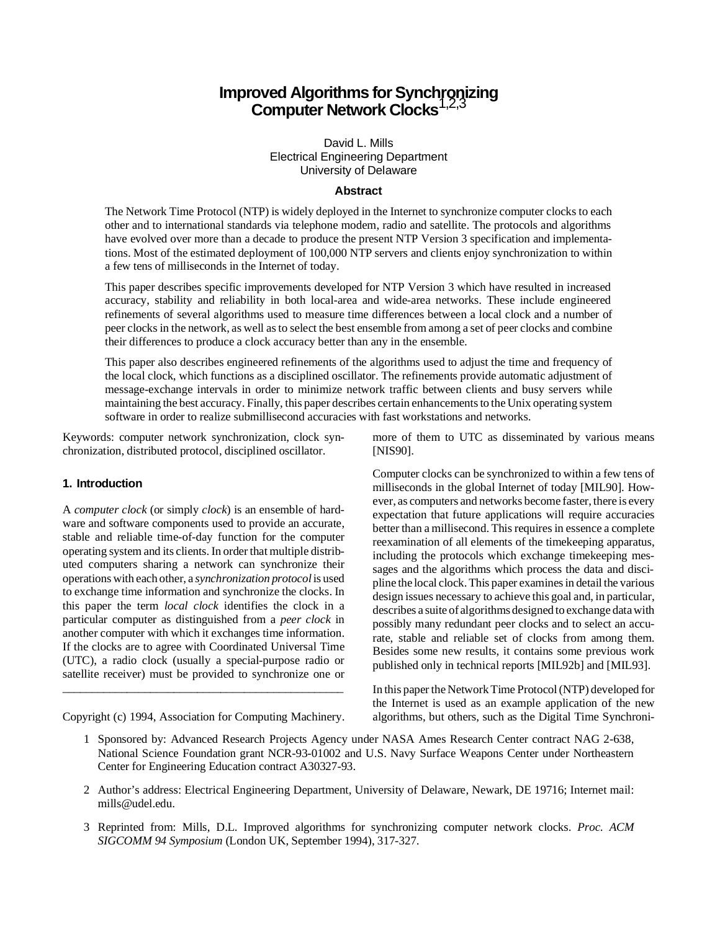# **Improved Algorithms for Synchronizing Computer Network Clocks**1,2,3

David L. Mills Electrical Engineering Department University of Delaware

#### **Abstract**

The Network Time Protocol (NTP) is widely deployed in the Internet to synchronize computer clocks to each other and to international standards via telephone modem, radio and satellite. The protocols and algorithms have evolved over more than a decade to produce the present NTP Version 3 specification and implementations. Most of the estimated deployment of 100,000 NTP servers and clients enjoy synchronization to within a few tens of milliseconds in the Internet of today.

This paper describes specific improvements developed for NTP Version 3 which have resulted in increased accuracy, stability and reliability in both local-area and wide-area networks. These include engineered refinements of several algorithms used to measure time differences between a local clock and a number of peer clocks in the network, as well as to select the best ensemble from among a set of peer clocks and combine their differences to produce a clock accuracy better than any in the ensemble.

This paper also describes engineered refinements of the algorithms used to adjust the time and frequency of the local clock, which functions as a disciplined oscillator. The refinements provide automatic adjustment of message-exchange intervals in order to minimize network traffic between clients and busy servers while maintaining the best accuracy. Finally, this paper describes certain enhancements to the Unix operating system software in order to realize submillisecond accuracies with fast workstations and networks.

Keywords: computer network synchronization, clock synchronization, distributed protocol, disciplined oscillator.

#### **1. Introduction**

A *computer clock* (or simply *clock*) is an ensemble of hardware and software components used to provide an accurate, stable and reliable time-of-day function for the computer operating system and its clients. In order that multiple distributed computers sharing a network can synchronize their operations with each other, a *synchronization protocol* is used to exchange time information and synchronize the clocks. In this paper the term *local clock* identifies the clock in a particular computer as distinguished from a *peer clock* in another computer with which it exchanges time information. If the clocks are to agree with Coordinated Universal Time (UTC), a radio clock (usually a special-purpose radio or satellite receiver) must be provided to synchronize one or

more of them to UTC as disseminated by various means [NIS90].

Computer clocks can be synchronized to within a few tens of milliseconds in the global Internet of today [MIL90]. However, as computers and networks become faster, there is every expectation that future applications will require accuracies better than a millisecond. This requires in essence a complete reexamination of all elements of the timekeeping apparatus, including the protocols which exchange timekeeping messages and the algorithms which process the data and discipline the local clock. This paper examines in detail the various design issues necessary to achieve this goal and, in particular, describes a suite of algorithms designed to exchange data with possibly many redundant peer clocks and to select an accurate, stable and reliable set of clocks from among them. Besides some new results, it contains some previous work published only in technical reports [MIL92b] and [MIL93].

In this paper the Network Time Protocol (NTP) developed for the Internet is used as an example application of the new algorithms, but others, such as the Digital Time Synchroni-

Copyright (c) 1994, Association for Computing Machinery.

\_\_\_\_\_\_\_\_\_\_\_\_\_\_\_\_\_\_\_\_\_\_\_\_\_\_\_\_\_\_\_\_\_\_\_\_\_\_\_\_\_\_\_\_\_\_\_\_

- 1 Sponsored by: Advanced Research Projects Agency under NASA Ames Research Center contract NAG 2-638, National Science Foundation grant NCR-93-01002 and U.S. Navy Surface Weapons Center under Northeastern Center for Engineering Education contract A30327-93.
- 2 Author's address: Electrical Engineering Department, University of Delaware, Newark, DE 19716; Internet mail: mills@udel.edu.
- 3 Reprinted from: Mills, D.L. Improved algorithms for synchronizing computer network clocks. *Proc. ACM SIGCOMM 94 Symposium* (London UK, September 1994), 317-327.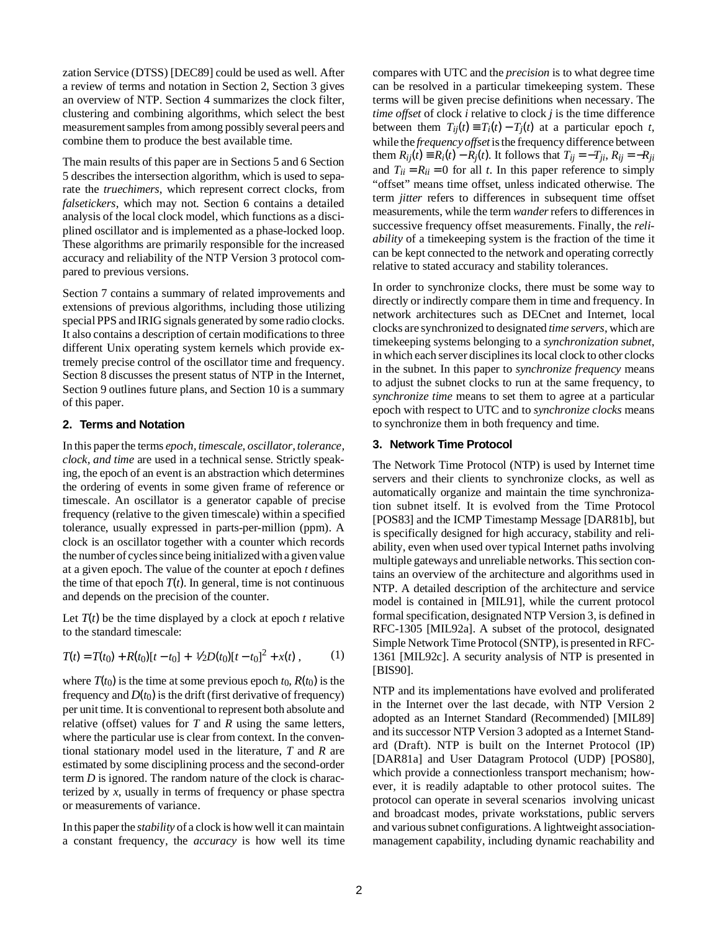zation Service (DTSS) [DEC89] could be used as well. After a review of terms and notation in Section 2, Section 3 gives an overview of NTP. Section 4 summarizes the clock filter, clustering and combining algorithms, which select the best measurement samples from among possibly several peers and combine them to produce the best available time.

The main results of this paper are in Sections 5 and 6 Section 5 describes the intersection algorithm, which is used to separate the *truechimers*, which represent correct clocks, from *falsetickers*, which may not. Section 6 contains a detailed analysis of the local clock model, which functions as a disciplined oscillator and is implemented as a phase-locked loop. These algorithms are primarily responsible for the increased accuracy and reliability of the NTP Version 3 protocol compared to previous versions.

Section 7 contains a summary of related improvements and extensions of previous algorithms, including those utilizing special PPS and IRIG signals generated by some radio clocks. It also contains a description of certain modifications to three different Unix operating system kernels which provide extremely precise control of the oscillator time and frequency. Section 8 discusses the present status of NTP in the Internet, Section 9 outlines future plans, and Section 10 is a summary of this paper.

#### **2. Terms and Notation**

In this paper the terms *epoch, timescale, oscillator, tolerance, clock, and time* are used in a technical sense. Strictly speaking, the epoch of an event is an abstraction which determines the ordering of events in some given frame of reference or timescale. An oscillator is a generator capable of precise frequency (relative to the given timescale) within a specified tolerance, usually expressed in parts-per-million (ppm). A clock is an oscillator together with a counter which records the number of cycles since being initialized with a given value at a given epoch. The value of the counter at epoch *t* defines the time of that epoch  $T(t)$ . In general, time is not continuous and depends on the precision of the counter.

Let  $T(t)$  be the time displayed by a clock at epoch  $t$  relative to the standard timescale:

$$
T(t) = T(t_0) + R(t_0)[t - t_0] + \sqrt[1]{2D(t_0)[t - t_0]^2} + x(t), \qquad (1)
$$

where  $T(t_0)$  is the time at some previous epoch  $t_0$ ,  $R(t_0)$  is the frequency and  $D(t_0)$  is the drift (first derivative of frequency) per unit time. It is conventional to represent both absolute and relative (offset) values for *T* and *R* using the same letters, where the particular use is clear from context. In the conventional stationary model used in the literature, *T* and *R* are estimated by some disciplining process and the second-order term *D* is ignored. The random nature of the clock is characterized by *x*, usually in terms of frequency or phase spectra or measurements of variance.

In this paper the *stability* of a clock is how well it can maintain a constant frequency, the *accuracy* is how well its time compares with UTC and the *precision* is to what degree time can be resolved in a particular timekeeping system. These terms will be given precise definitions when necessary. The *time offset* of clock *i* relative to clock *j* is the time difference between them  $T_{ij}(t) = T_i(t) - T_j(t)$  at a particular epoch *t*, while the *frequency offset* is the frequency difference between them  $R_{ij}(t) = R_i(t) - R_j(t)$ . It follows that  $T_{ij} = -T_{ji}$ ,  $R_{ij} = -R_{ji}$ and  $T_{ii} = R_{ii} = 0$  for all *t*. In this paper reference to simply "offset" means time offset, unless indicated otherwise. The term *jitter* refers to differences in subsequent time offset measurements, while the term *wander* refers to differences in successive frequency offset measurements. Finally, the *reliability* of a timekeeping system is the fraction of the time it can be kept connected to the network and operating correctly relative to stated accuracy and stability tolerances.

In order to synchronize clocks, there must be some way to directly or indirectly compare them in time and frequency. In network architectures such as DECnet and Internet, local clocks are synchronized to designated *time servers*, which are timekeeping systems belonging to a *synchronization subnet*, in which each server disciplines its local clock to other clocks in the subnet. In this paper to *synchronize frequency* means to adjust the subnet clocks to run at the same frequency, to *synchronize time* means to set them to agree at a particular epoch with respect to UTC and to *synchronize clocks* means to synchronize them in both frequency and time.

#### **3. Network Time Protocol**

The Network Time Protocol (NTP) is used by Internet time servers and their clients to synchronize clocks, as well as automatically organize and maintain the time synchronization subnet itself. It is evolved from the Time Protocol [POS83] and the ICMP Timestamp Message [DAR81b], but is specifically designed for high accuracy, stability and reliability, even when used over typical Internet paths involving multiple gateways and unreliable networks. This section contains an overview of the architecture and algorithms used in NTP. A detailed description of the architecture and service model is contained in [MIL91], while the current protocol formal specification, designated NTP Version 3, is defined in RFC-1305 [MIL92a]. A subset of the protocol, designated Simple Network Time Protocol (SNTP), is presented in RFC-1361 [MIL92c]. A security analysis of NTP is presented in [BIS90].

NTP and its implementations have evolved and proliferated in the Internet over the last decade, with NTP Version 2 adopted as an Internet Standard (Recommended) [MIL89] and its successor NTP Version 3 adopted as a Internet Standard (Draft). NTP is built on the Internet Protocol (IP) [DAR81a] and User Datagram Protocol (UDP) [POS80], which provide a connectionless transport mechanism; however, it is readily adaptable to other protocol suites. The protocol can operate in several scenarios involving unicast and broadcast modes, private workstations, public servers and various subnet configurations. A lightweight associationmanagement capability, including dynamic reachability and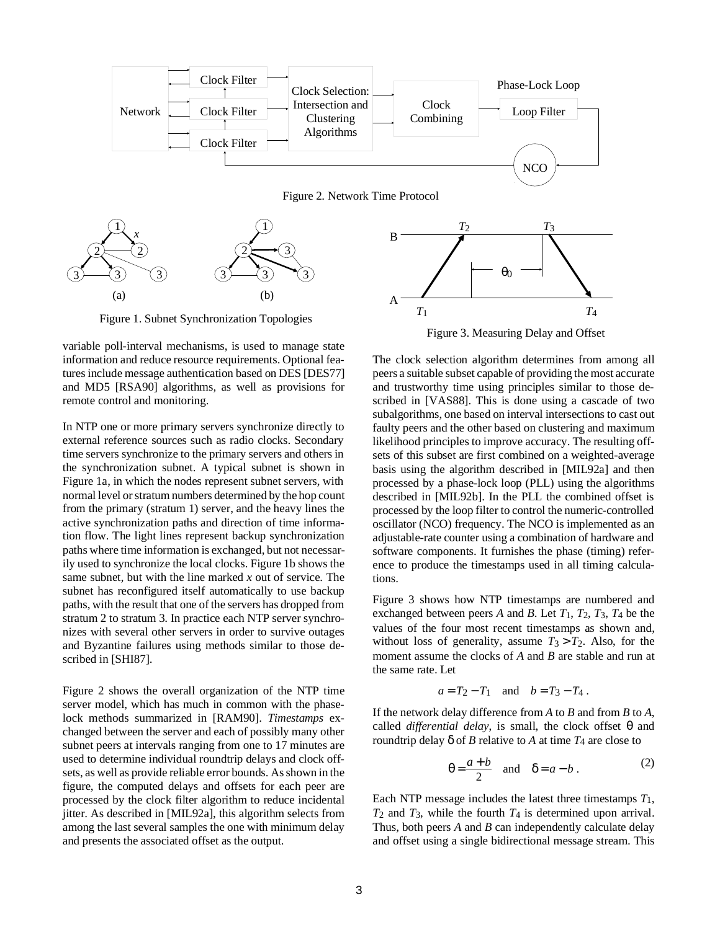

Figure 2. Network Time Protocol



Figure 1. Subnet Synchronization Topologies

variable poll-interval mechanisms, is used to manage state information and reduce resource requirements. Optional features include message authentication based on DES [DES77] and MD5 [RSA90] algorithms, as well as provisions for remote control and monitoring.

In NTP one or more primary servers synchronize directly to external reference sources such as radio clocks. Secondary time servers synchronize to the primary servers and others in the synchronization subnet. A typical subnet is shown in Figure 1a, in which the nodes represent subnet servers, with normal level or stratum numbers determined by the hop count from the primary (stratum 1) server, and the heavy lines the active synchronization paths and direction of time information flow. The light lines represent backup synchronization paths where time information is exchanged, but not necessarily used to synchronize the local clocks. Figure 1b shows the same subnet, but with the line marked *x* out of service. The subnet has reconfigured itself automatically to use backup paths, with the result that one of the servers has dropped from stratum 2 to stratum 3. In practice each NTP server synchronizes with several other servers in order to survive outages and Byzantine failures using methods similar to those described in [SHI87].

Figure 2 shows the overall organization of the NTP time server model, which has much in common with the phaselock methods summarized in [RAM90]. *Timestamps* exchanged between the server and each of possibly many other subnet peers at intervals ranging from one to 17 minutes are used to determine individual roundtrip delays and clock offsets, as well as provide reliable error bounds. As shown in the figure, the computed delays and offsets for each peer are processed by the clock filter algorithm to reduce incidental jitter. As described in [MIL92a], this algorithm selects from among the last several samples the one with minimum delay and presents the associated offset as the output.



Figure 3. Measuring Delay and Offset

The clock selection algorithm determines from among all peers a suitable subset capable of providing the most accurate and trustworthy time using principles similar to those described in [VAS88]. This is done using a cascade of two subalgorithms, one based on interval intersections to cast out faulty peers and the other based on clustering and maximum likelihood principles to improve accuracy. The resulting offsets of this subset are first combined on a weighted-average basis using the algorithm described in [MIL92a] and then processed by a phase-lock loop (PLL) using the algorithms described in [MIL92b]. In the PLL the combined offset is processed by the loop filter to control the numeric-controlled oscillator (NCO) frequency. The NCO is implemented as an adjustable-rate counter using a combination of hardware and software components. It furnishes the phase (timing) reference to produce the timestamps used in all timing calculations.

Figure 3 shows how NTP timestamps are numbered and exchanged between peers *A* and *B*. Let *T*1, *T*2, *T*3, *T*4 be the values of the four most recent timestamps as shown and, without loss of generality, assume  $T_3 > T_2$ . Also, for the moment assume the clocks of *A* and *B* are stable and run at the same rate. Let

$$
a = T_2 - T_1 \quad \text{and} \quad b = T_3 - T_4 \; .
$$

If the network delay difference from *A* to *B* and from *B* to *A*, called *differential delay*, is small, the clock offset θ and roundtrip delay δ of *B* relative to *A* at time *T*4 are close to

$$
\theta = \frac{a+b}{2} \quad \text{and} \quad \delta = a-b \ . \tag{2}
$$

Each NTP message includes the latest three timestamps *T*1, *T*2 and *T*3, while the fourth *T*4 is determined upon arrival. Thus, both peers *A* and *B* can independently calculate delay and offset using a single bidirectional message stream. This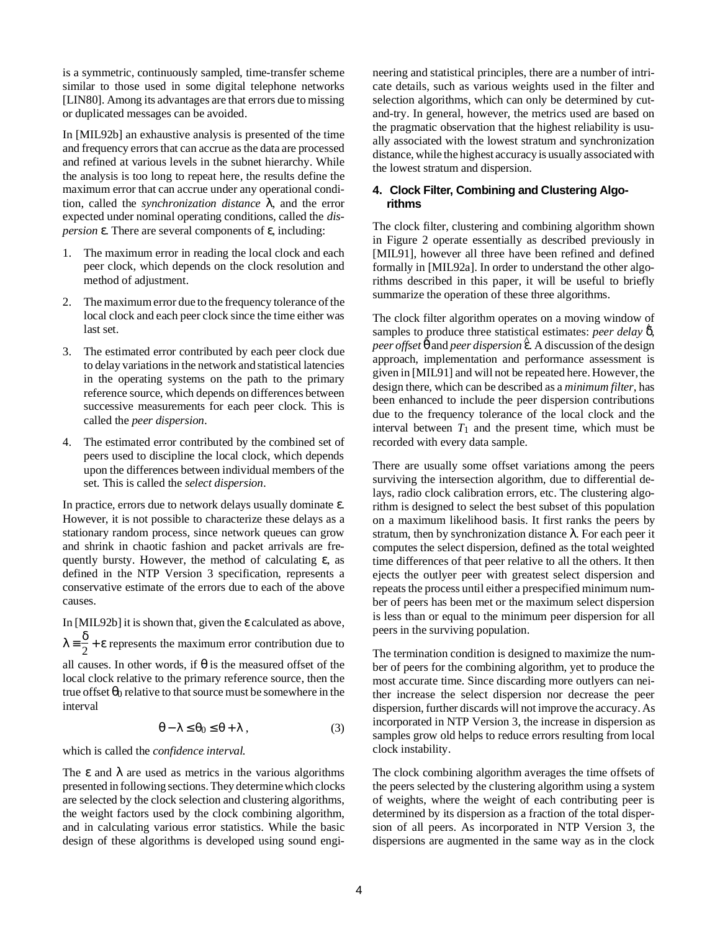is a symmetric, continuously sampled, time-transfer scheme similar to those used in some digital telephone networks [LIN80]. Among its advantages are that errors due to missing or duplicated messages can be avoided.

In [MIL92b] an exhaustive analysis is presented of the time and frequency errors that can accrue as the data are processed and refined at various levels in the subnet hierarchy. While the analysis is too long to repeat here, the results define the maximum error that can accrue under any operational condition, called the *synchronization distance* λ, and the error expected under nominal operating conditions, called the *dispersion* ε. There are several components of ε, including:

- 1. The maximum error in reading the local clock and each peer clock, which depends on the clock resolution and method of adjustment.
- 2. The maximum error due to the frequency tolerance of the local clock and each peer clock since the time either was last set.
- 3. The estimated error contributed by each peer clock due to delay variations in the network and statistical latencies in the operating systems on the path to the primary reference source, which depends on differences between successive measurements for each peer clock. This is called the *peer dispersion*.
- 4. The estimated error contributed by the combined set of peers used to discipline the local clock, which depends upon the differences between individual members of the set. This is called the *select dispersion*.

In practice, errors due to network delays usually dominate ε. However, it is not possible to characterize these delays as a stationary random process, since network queues can grow and shrink in chaotic fashion and packet arrivals are frequently bursty. However, the method of calculating  $\varepsilon$ , as defined in the NTP Version 3 specification, represents a conservative estimate of the errors due to each of the above causes.

In [MIL92b] it is shown that, given the ε calculated as above,  $\lambda = \frac{\delta}{2} + \varepsilon$  represents the maximum error contribution due to

all causes. In other words, if  $\theta$  is the measured offset of the

local clock relative to the primary reference source, then the true offset  $\theta_0$  relative to that source must be somewhere in the interval

$$
\theta - \lambda \le \theta_0 \le \theta + \lambda \tag{3}
$$

which is called the *confidence interval.*

The  $\varepsilon$  and  $\lambda$  are used as metrics in the various algorithms presented in following sections. They determine which clocks are selected by the clock selection and clustering algorithms, the weight factors used by the clock combining algorithm, and in calculating various error statistics. While the basic design of these algorithms is developed using sound engineering and statistical principles, there are a number of intricate details, such as various weights used in the filter and selection algorithms, which can only be determined by cutand-try. In general, however, the metrics used are based on the pragmatic observation that the highest reliability is usually associated with the lowest stratum and synchronization distance, while the highest accuracy is usually associated with the lowest stratum and dispersion.

## **4. Clock Filter, Combining and Clustering Algorithms**

The clock filter, clustering and combining algorithm shown in Figure 2 operate essentially as described previously in [MIL91], however all three have been refined and defined formally in [MIL92a]. In order to understand the other algorithms described in this paper, it will be useful to briefly summarize the operation of these three algorithms.

The clock filter algorithm operates on a moving window of samples to produce three statistical estimates: *peer delay*  $\delta$ , *peer offset*  $\hat{\theta}$  and *peer dispersion* ε. A discussion of the design approach, implementation and performance assessment is given in [MIL91] and will not be repeated here. However, the design there, which can be described as a *minimum filter*, has been enhanced to include the peer dispersion contributions due to the frequency tolerance of the local clock and the interval between  $T_1$  and the present time, which must be recorded with every data sample.

There are usually some offset variations among the peers surviving the intersection algorithm, due to differential delays, radio clock calibration errors, etc. The clustering algorithm is designed to select the best subset of this population on a maximum likelihood basis. It first ranks the peers by stratum, then by synchronization distance  $\lambda$ . For each peer it computes the select dispersion, defined as the total weighted time differences of that peer relative to all the others. It then ejects the outlyer peer with greatest select dispersion and repeats the process until either a prespecified minimum number of peers has been met or the maximum select dispersion is less than or equal to the minimum peer dispersion for all peers in the surviving population.

The termination condition is designed to maximize the number of peers for the combining algorithm, yet to produce the most accurate time. Since discarding more outlyers can neither increase the select dispersion nor decrease the peer dispersion, further discards will not improve the accuracy. As incorporated in NTP Version 3, the increase in dispersion as samples grow old helps to reduce errors resulting from local clock instability.

The clock combining algorithm averages the time offsets of the peers selected by the clustering algorithm using a system of weights, where the weight of each contributing peer is determined by its dispersion as a fraction of the total dispersion of all peers. As incorporated in NTP Version 3, the dispersions are augmented in the same way as in the clock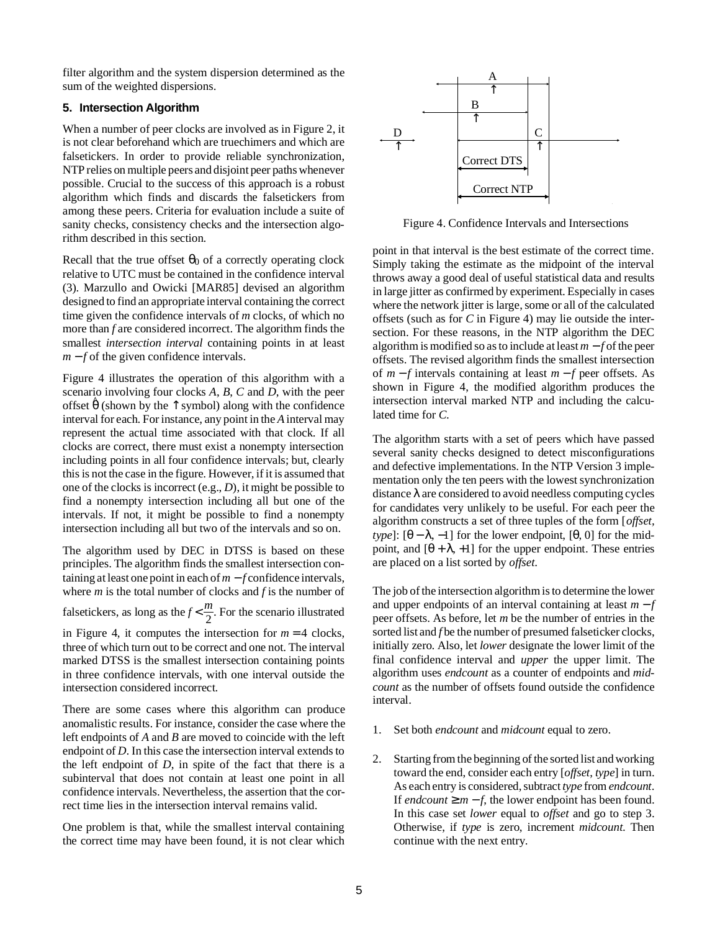filter algorithm and the system dispersion determined as the sum of the weighted dispersions.

### **5. Intersection Algorithm**

When a number of peer clocks are involved as in Figure 2, it is not clear beforehand which are truechimers and which are falsetickers. In order to provide reliable synchronization, NTP relies on multiple peers and disjoint peer paths whenever possible. Crucial to the success of this approach is a robust algorithm which finds and discards the falsetickers from among these peers. Criteria for evaluation include a suite of sanity checks, consistency checks and the intersection algorithm described in this section.

Recall that the true offset  $\theta_0$  of a correctly operating clock relative to UTC must be contained in the confidence interval (3). Marzullo and Owicki [MAR85] devised an algorithm designed to find an appropriate interval containing the correct time given the confidence intervals of *m* clocks, of which no more than *f* are considered incorrect. The algorithm finds the smallest *intersection interval* containing points in at least *m* − *f* of the given confidence intervals.

Figure 4 illustrates the operation of this algorithm with a scenario involving four clocks *A*, *B*, *C* and *D*, with the peer offset  $\hat{\theta}$  (shown by the  $\hat{\uparrow}$  symbol) along with the confidence interval for each. For instance, any point in the *A* interval may represent the actual time associated with that clock. If all clocks are correct, there must exist a nonempty intersection including points in all four confidence intervals; but, clearly this is not the case in the figure. However, if it is assumed that one of the clocks is incorrect (e.g., *D*), it might be possible to find a nonempty intersection including all but one of the intervals. If not, it might be possible to find a nonempty intersection including all but two of the intervals and so on.

The algorithm used by DEC in DTSS is based on these principles. The algorithm finds the smallest intersection containing at least one point in each of *m* − *f* confidence intervals, where *m* is the total number of clocks and *f* is the number of

falsetickers, as long as the  $f < \frac{m}{2}$ . For the scenario illustrated

in Figure 4, it computes the intersection for  $m = 4$  clocks, three of which turn out to be correct and one not. The interval marked DTSS is the smallest intersection containing points in three confidence intervals, with one interval outside the intersection considered incorrect.

There are some cases where this algorithm can produce anomalistic results. For instance, consider the case where the left endpoints of *A* and *B* are moved to coincide with the left endpoint of *D*. In this case the intersection interval extends to the left endpoint of *D*, in spite of the fact that there is a subinterval that does not contain at least one point in all confidence intervals. Nevertheless, the assertion that the correct time lies in the intersection interval remains valid.

One problem is that, while the smallest interval containing the correct time may have been found, it is not clear which



Figure 4. Confidence Intervals and Intersections

point in that interval is the best estimate of the correct time. Simply taking the estimate as the midpoint of the interval throws away a good deal of useful statistical data and results in large jitter as confirmed by experiment. Especially in cases where the network jitter is large, some or all of the calculated offsets (such as for *C* in Figure 4) may lie outside the intersection. For these reasons, in the NTP algorithm the DEC algorithm is modified so as to include at least *m* − *f* of the peer offsets. The revised algorithm finds the smallest intersection of *m* − *f* intervals containing at least *m* − *f* peer offsets. As shown in Figure 4, the modified algorithm produces the intersection interval marked NTP and including the calculated time for *C*.

The algorithm starts with a set of peers which have passed several sanity checks designed to detect misconfigurations and defective implementations. In the NTP Version 3 implementation only the ten peers with the lowest synchronization distance  $\lambda$  are considered to avoid needless computing cycles for candidates very unlikely to be useful. For each peer the algorithm constructs a set of three tuples of the form [*offset, type*]:  $[\theta - \lambda, -1]$  for the lower endpoint,  $[\theta, 0]$  for the midpoint, and  $[\theta + \lambda, +1]$  for the upper endpoint. These entries are placed on a list sorted by *offset*.

The job of the intersection algorithm is to determine the lower and upper endpoints of an interval containing at least  $m - f$ peer offsets. As before, let *m* be the number of entries in the sorted list and *f* be the number of presumed falseticker clocks, initially zero. Also, let *lower* designate the lower limit of the final confidence interval and *upper* the upper limit. The algorithm uses *endcount* as a counter of endpoints and *midcount* as the number of offsets found outside the confidence interval.

- 1. Set both *endcount* and *midcount* equal to zero.
- 2. Starting from the beginning of the sorted list and working toward the end, consider each entry [*offset*, *type*] in turn. As each entry is considered, subtract *type* from *endcount*. If *endcount* ≥  $m - f$ , the lower endpoint has been found. In this case set *lower* equal to *offset* and go to step 3. Otherwise, if *type* is zero, increment *midcount*. Then continue with the next entry.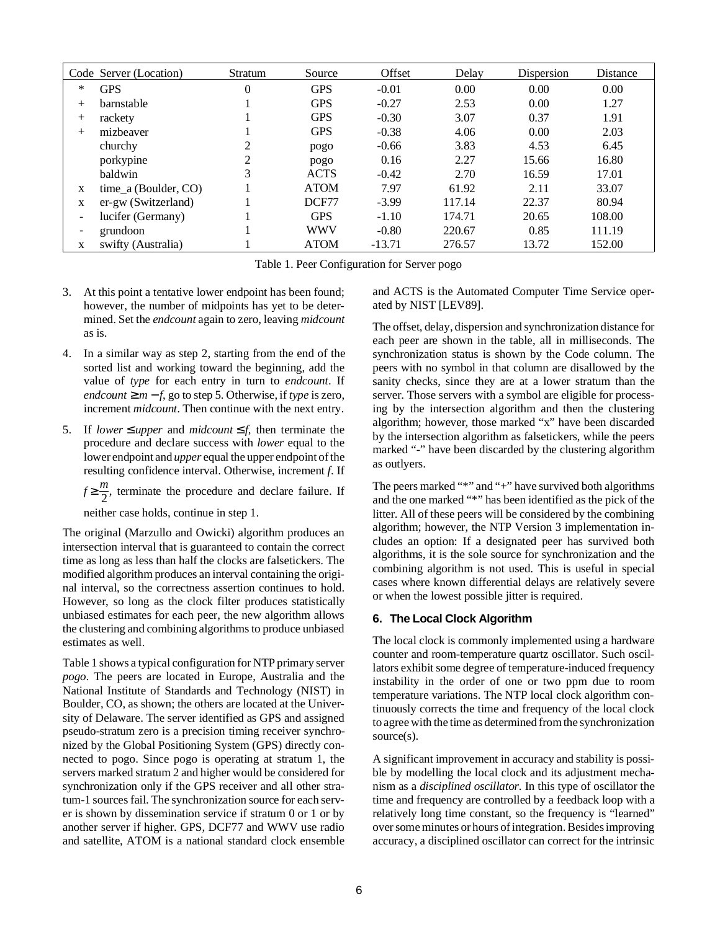|                          | Code Server (Location) | <b>Stratum</b> | Source      | Offset   | Delay  | Dispersion | Distance |
|--------------------------|------------------------|----------------|-------------|----------|--------|------------|----------|
| *                        | <b>GPS</b>             | $\theta$       | <b>GPS</b>  | $-0.01$  | 0.00   | 0.00       | 0.00     |
| $^{+}$                   | barnstable             |                | <b>GPS</b>  | $-0.27$  | 2.53   | 0.00       | 1.27     |
| $^{+}$                   | rackety                |                | <b>GPS</b>  | $-0.30$  | 3.07   | 0.37       | 1.91     |
| $^{+}$                   | mizbeaver              |                | <b>GPS</b>  | $-0.38$  | 4.06   | 0.00       | 2.03     |
|                          | churchy                | ◠              | pogo        | $-0.66$  | 3.83   | 4.53       | 6.45     |
|                          | porkypine              | ↑              | pogo        | 0.16     | 2.27   | 15.66      | 16.80    |
|                          | baldwin                | 3              | <b>ACTS</b> | $-0.42$  | 2.70   | 16.59      | 17.01    |
| X                        | $time_a$ (Boulder, CO) |                | <b>ATOM</b> | 7.97     | 61.92  | 2.11       | 33.07    |
| X                        | er-gw (Switzerland)    |                | DCF77       | $-3.99$  | 117.14 | 22.37      | 80.94    |
| $\overline{\phantom{a}}$ | lucifer (Germany)      |                | <b>GPS</b>  | $-1.10$  | 174.71 | 20.65      | 108.00   |
| $\overline{\phantom{a}}$ | grundoon               |                | <b>WWV</b>  | $-0.80$  | 220.67 | 0.85       | 111.19   |
| X                        | swifty (Australia)     |                | <b>ATOM</b> | $-13.71$ | 276.57 | 13.72      | 152.00   |

Table 1. Peer Configuration for Server pogo

- 3. At this point a tentative lower endpoint has been found; however, the number of midpoints has yet to be determined. Set the *endcount* again to zero, leaving *midcount* as is.
- 4. In a similar way as step 2, starting from the end of the sorted list and working toward the beginning, add the value of *type* for each entry in turn to *endcount*. If *endcount*  $≥ m - f$ , go to step 5. Otherwise, if *type* is zero, increment *midcount*. Then continue with the next entry.
- 5. If *lower*  $\leq$  *upper* and *midcount*  $\leq$  *f*, then terminate the procedure and declare success with *lower* equal to the lower endpoint and *upper* equal the upper endpoint of the resulting confidence interval. Otherwise, increment *f*. If

 $f \geq \frac{m}{2}$ , terminate the procedure and declare failure. If

neither case holds, continue in step 1.

The original (Marzullo and Owicki) algorithm produces an intersection interval that is guaranteed to contain the correct time as long as less than half the clocks are falsetickers. The modified algorithm produces an interval containing the original interval, so the correctness assertion continues to hold. However, so long as the clock filter produces statistically unbiased estimates for each peer, the new algorithm allows the clustering and combining algorithms to produce unbiased estimates as well.

Table 1 shows a typical configuration for NTP primary server *pogo*. The peers are located in Europe, Australia and the National Institute of Standards and Technology (NIST) in Boulder, CO, as shown; the others are located at the University of Delaware. The server identified as GPS and assigned pseudo-stratum zero is a precision timing receiver synchronized by the Global Positioning System (GPS) directly connected to pogo. Since pogo is operating at stratum 1, the servers marked stratum 2 and higher would be considered for synchronization only if the GPS receiver and all other stratum-1 sources fail. The synchronization source for each server is shown by dissemination service if stratum 0 or 1 or by another server if higher. GPS, DCF77 and WWV use radio and satellite, ATOM is a national standard clock ensemble

and ACTS is the Automated Computer Time Service operated by NIST [LEV89].

The offset, delay, dispersion and synchronization distance for each peer are shown in the table, all in milliseconds. The synchronization status is shown by the Code column. The peers with no symbol in that column are disallowed by the sanity checks, since they are at a lower stratum than the server. Those servers with a symbol are eligible for processing by the intersection algorithm and then the clustering algorithm; however, those marked "x" have been discarded by the intersection algorithm as falsetickers, while the peers marked "-" have been discarded by the clustering algorithm as outlyers.

The peers marked "\*" and "+" have survived both algorithms and the one marked "\*" has been identified as the pick of the litter. All of these peers will be considered by the combining algorithm; however, the NTP Version 3 implementation includes an option: If a designated peer has survived both algorithms, it is the sole source for synchronization and the combining algorithm is not used. This is useful in special cases where known differential delays are relatively severe or when the lowest possible jitter is required.

## **6. The Local Clock Algorithm**

The local clock is commonly implemented using a hardware counter and room-temperature quartz oscillator. Such oscillators exhibit some degree of temperature-induced frequency instability in the order of one or two ppm due to room temperature variations. The NTP local clock algorithm continuously corrects the time and frequency of the local clock to agree with the time as determined from the synchronization source(s).

A significant improvement in accuracy and stability is possible by modelling the local clock and its adjustment mechanism as a *disciplined oscillator*. In this type of oscillator the time and frequency are controlled by a feedback loop with a relatively long time constant, so the frequency is "learned" over some minutes or hours of integration. Besides improving accuracy, a disciplined oscillator can correct for the intrinsic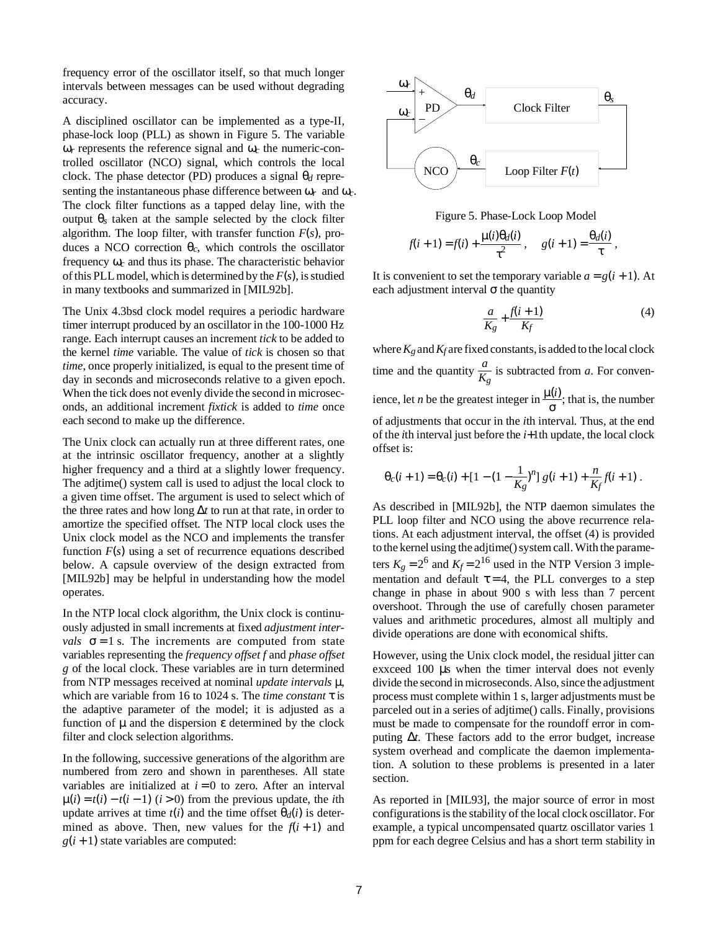frequency error of the oscillator itself, so that much longer intervals between messages can be used without degrading accuracy.

A disciplined oscillator can be implemented as a type-II, phase-lock loop (PLL) as shown in Figure 5. The variable ω*r* represents the reference signal and ω*c* the numeric-controlled oscillator (NCO) signal, which controls the local clock. The phase detector (PD) produces a signal θ*d* representing the instantaneous phase difference between ω*r* and ω*c*. The clock filter functions as a tapped delay line, with the output θ*s* taken at the sample selected by the clock filter algorithm. The loop filter, with transfer function  $F(s)$ , produces a NCO correction θ*c*, which controls the oscillator frequency  $\omega_c$  and thus its phase. The characteristic behavior of this PLL model, which is determined by the *F*(*s*), is studied in many textbooks and summarized in [MIL92b].

The Unix 4.3bsd clock model requires a periodic hardware timer interrupt produced by an oscillator in the 100-1000 Hz range. Each interrupt causes an increment *tick* to be added to the kernel *time* variable. The value of *tick* is chosen so that *time*, once properly initialized, is equal to the present time of day in seconds and microseconds relative to a given epoch. When the tick does not evenly divide the second in microseconds, an additional increment *fixtick* is added to *time* once each second to make up the difference.

The Unix clock can actually run at three different rates, one at the intrinsic oscillator frequency, another at a slightly higher frequency and a third at a slightly lower frequency. The adjtime() system call is used to adjust the local clock to a given time offset. The argument is used to select which of the three rates and how long ∆*t* to run at that rate, in order to amortize the specified offset. The NTP local clock uses the Unix clock model as the NCO and implements the transfer function  $F(s)$  using a set of recurrence equations described below. A capsule overview of the design extracted from [MIL92b] may be helpful in understanding how the model operates.

In the NTP local clock algorithm, the Unix clock is continuously adjusted in small increments at fixed *adjustment intervals*  $\sigma = 1$  s. The increments are computed from state variables representing the *frequency offset f* and *phase offset g* of the local clock. These variables are in turn determined from NTP messages received at nominal *update intervals* µ, which are variable from 16 to 1024 s. The *time constant* τ is the adaptive parameter of the model; it is adjusted as a function of  $\mu$  and the dispersion  $\varepsilon$  determined by the clock filter and clock selection algorithms.

In the following, successive generations of the algorithm are numbered from zero and shown in parentheses. All state variables are initialized at  $i = 0$  to zero. After an interval  $\mu(i) = t(i) - t(i-1)$  (*i* > 0) from the previous update, the *i*th update arrives at time  $t(i)$  and the time offset  $\theta_d(i)$  is determined as above. Then, new values for the  $f(i + 1)$  and  $g(i + 1)$  state variables are computed:



Figure 5. Phase-Lock Loop Model

$$
f(i + 1) = f(i) + \frac{\mu(i)\theta_d(i)}{\tau^2}, \quad g(i + 1) = \frac{\theta_d(i)}{\tau},
$$

It is convenient to set the temporary variable  $a = g(i + 1)$ . At each adjustment interval  $\sigma$  the quantity

$$
\frac{a}{K_g} + \frac{f(i+1)}{K_f} \tag{4}
$$

where  $K_g$  and  $K_f$  are fixed constants, is added to the local clock time and the quantity  $\frac{a}{K_g}$  is subtracted from *a*. For convenience, let *n* be the greatest integer in  $\frac{\mu(i)}{\sigma}$ ; that is, the number of adjustments that occur in the *i*th interval. Thus, at the end of the *i*th interval just before the *i*+1th update, the local clock offset is:

$$
\Theta_c(i+1) = \Theta_c(i) + [1 - (1 - \frac{1}{K_g})^n] g(i+1) + \frac{n}{K_f} f(i+1).
$$

As described in [MIL92b], the NTP daemon simulates the PLL loop filter and NCO using the above recurrence relations. At each adjustment interval, the offset (4) is provided to the kernel using the adjtime() system call. With the parameters  $K_g = 2^6$  and  $K_f = 2^{16}$  used in the NTP Version 3 implementation and default  $\tau = 4$ , the PLL converges to a step change in phase in about 900 s with less than 7 percent overshoot. Through the use of carefully chosen parameter values and arithmetic procedures, almost all multiply and divide operations are done with economical shifts.

However, using the Unix clock model, the residual jitter can exxceed 100 µs when the timer interval does not evenly divide the second in microseconds. Also, since the adjustment process must complete within 1 s, larger adjustments must be parceled out in a series of adjtime() calls. Finally, provisions must be made to compensate for the roundoff error in computing ∆*t*. These factors add to the error budget, increase system overhead and complicate the daemon implementation. A solution to these problems is presented in a later section.

As reported in [MIL93], the major source of error in most configurations is the stability of the local clock oscillator. For example, a typical uncompensated quartz oscillator varies 1 ppm for each degree Celsius and has a short term stability in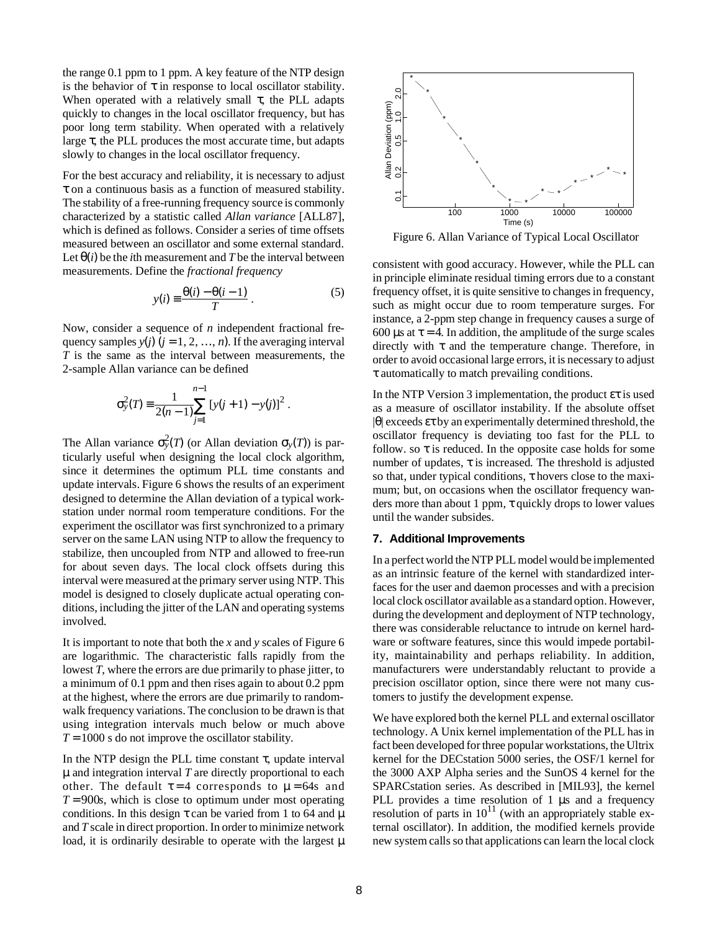the range 0.1 ppm to 1 ppm. A key feature of the NTP design is the behavior of  $\tau$  in response to local oscillator stability. When operated with a relatively small  $\tau$ , the PLL adapts quickly to changes in the local oscillator frequency, but has poor long term stability. When operated with a relatively large  $\tau$ , the PLL produces the most accurate time, but adapts slowly to changes in the local oscillator frequency.

For the best accuracy and reliability, it is necessary to adjust τ on a continuous basis as a function of measured stability. The stability of a free-running frequency source is commonly characterized by a statistic called *Allan variance* [ALL87], which is defined as follows. Consider a series of time offsets measured between an oscillator and some external standard. Let θ(*i*) be the *i*th measurement and *T* be the interval between measurements. Define the *fractional frequency*

$$
y(i) \equiv \frac{\Theta(i) - \Theta(i-1)}{T} \,. \tag{5}
$$

Now, consider a sequence of *n* independent fractional frequency samples  $y(j)$  ( $j = 1, 2, ..., n$ ). If the averaging interval *T* is the same as the interval between measurements, the 2-sample Allan variance can be defined

$$
\sigma_y^2(T) \equiv \frac{1}{2(n-1)} \sum_{j=1}^{n-1} [y(j+1) - y(j)]^2.
$$

The Allan variance  $\sigma_y^2(T)$  (or Allan deviation  $\sigma_y(T)$ ) is particularly useful when designing the local clock algorithm, since it determines the optimum PLL time constants and update intervals. Figure 6 shows the results of an experiment designed to determine the Allan deviation of a typical workstation under normal room temperature conditions. For the experiment the oscillator was first synchronized to a primary server on the same LAN using NTP to allow the frequency to stabilize, then uncoupled from NTP and allowed to free-run for about seven days. The local clock offsets during this interval were measured at the primary server using NTP. This model is designed to closely duplicate actual operating conditions, including the jitter of the LAN and operating systems involved.

It is important to note that both the *x* and *y* scales of Figure 6 are logarithmic. The characteristic falls rapidly from the lowest *T*, where the errors are due primarily to phase jitter, to a minimum of 0.1 ppm and then rises again to about 0.2 ppm at the highest, where the errors are due primarily to randomwalk frequency variations. The conclusion to be drawn is that using integration intervals much below or much above  $T = 1000$  s do not improve the oscillator stability.

In the NTP design the PLL time constant  $\tau$ , update interval µ and integration interval *T* are directly proportional to each other. The default  $\tau = 4$  corresponds to  $\mu = 64s$  and  $T = 900s$ , which is close to optimum under most operating conditions. In this design  $\tau$  can be varied from 1 to 64 and  $\mu$ and *T* scale in direct proportion. In order to minimize network load, it is ordinarily desirable to operate with the largest  $\mu$ 



Figure 6. Allan Variance of Typical Local Oscillator

consistent with good accuracy. However, while the PLL can in principle eliminate residual timing errors due to a constant frequency offset, it is quite sensitive to changes in frequency, such as might occur due to room temperature surges. For instance, a 2-ppm step change in frequency causes a surge of 600  $\mu$ s at  $\tau$  = 4. In addition, the amplitude of the surge scales directly with  $\tau$  and the temperature change. Therefore, in order to avoid occasional large errors, it is necessary to adjust τ automatically to match prevailing conditions.

In the NTP Version 3 implementation, the product  $\epsilon\tau$  is used as a measure of oscillator instability. If the absolute offset  $|\theta|$  exceeds  $\epsilon\tau$  by an experimentally determined threshold, the oscillator frequency is deviating too fast for the PLL to follow. so  $\tau$  is reduced. In the opposite case holds for some number of updates,  $\tau$  is increased. The threshold is adjusted so that, under typical conditions,  $\tau$  hovers close to the maximum; but, on occasions when the oscillator frequency wanders more than about 1 ppm,  $\tau$  quickly drops to lower values until the wander subsides.

#### **7. Additional Improvements**

In a perfect world the NTP PLL model would be implemented as an intrinsic feature of the kernel with standardized interfaces for the user and daemon processes and with a precision local clock oscillator available as a standard option. However, during the development and deployment of NTP technology, there was considerable reluctance to intrude on kernel hardware or software features, since this would impede portability, maintainability and perhaps reliability. In addition, manufacturers were understandably reluctant to provide a precision oscillator option, since there were not many customers to justify the development expense.

We have explored both the kernel PLL and external oscillator technology. A Unix kernel implementation of the PLL has in fact been developed for three popular workstations, the Ultrix kernel for the DECstation 5000 series, the OSF/1 kernel for the 3000 AXP Alpha series and the SunOS 4 kernel for the SPARCstation series. As described in [MIL93], the kernel PLL provides a time resolution of 1 µs and a frequency resolution of parts in  $10^{11}$  (with an appropriately stable external oscillator). In addition, the modified kernels provide new system calls so that applications can learn the local clock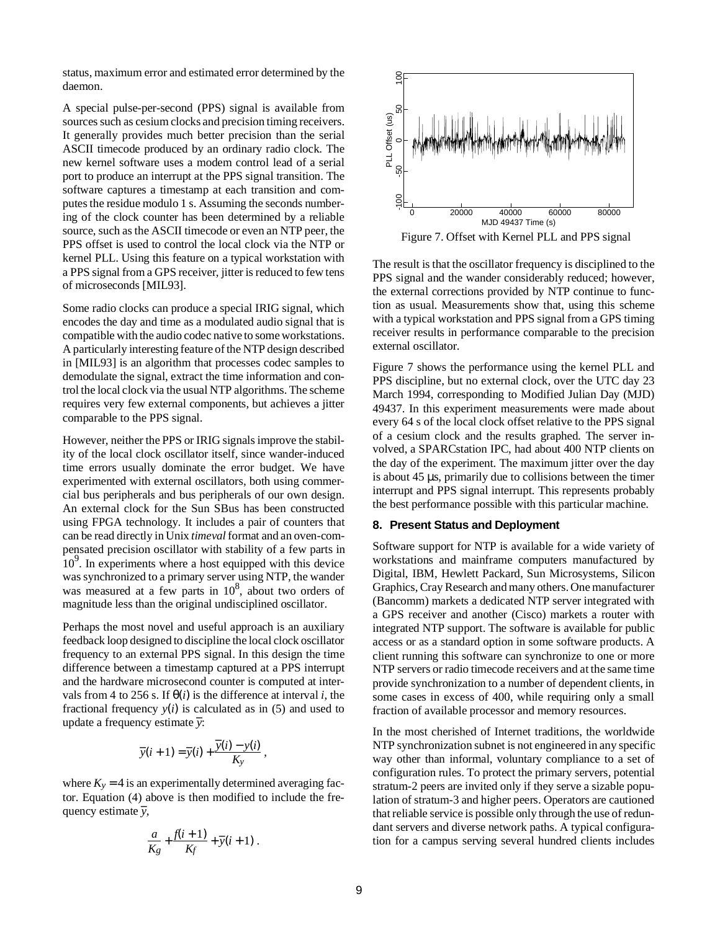status, maximum error and estimated error determined by the daemon.

A special pulse-per-second (PPS) signal is available from sources such as cesium clocks and precision timing receivers. It generally provides much better precision than the serial ASCII timecode produced by an ordinary radio clock. The new kernel software uses a modem control lead of a serial port to produce an interrupt at the PPS signal transition. The software captures a timestamp at each transition and computes the residue modulo 1 s. Assuming the seconds numbering of the clock counter has been determined by a reliable source, such as the ASCII timecode or even an NTP peer, the PPS offset is used to control the local clock via the NTP or kernel PLL. Using this feature on a typical workstation with a PPS signal from a GPS receiver, jitter is reduced to few tens of microseconds [MIL93].

Some radio clocks can produce a special IRIG signal, which encodes the day and time as a modulated audio signal that is compatible with the audio codec native to some workstations. A particularly interesting feature of the NTP design described in [MIL93] is an algorithm that processes codec samples to demodulate the signal, extract the time information and control the local clock via the usual NTP algorithms. The scheme requires very few external components, but achieves a jitter comparable to the PPS signal.

However, neither the PPS or IRIG signals improve the stability of the local clock oscillator itself, since wander-induced time errors usually dominate the error budget. We have experimented with external oscillators, both using commercial bus peripherals and bus peripherals of our own design. An external clock for the Sun SBus has been constructed using FPGA technology. It includes a pair of counters that can be read directly in Unix *timeval* format and an oven-compensated precision oscillator with stability of a few parts in  $10<sup>9</sup>$ . In experiments where a host equipped with this device was synchronized to a primary server using NTP, the wander was measured at a few parts in  $10^8$ , about two orders of magnitude less than the original undisciplined oscillator.

Perhaps the most novel and useful approach is an auxiliary feedback loop designed to discipline the local clock oscillator frequency to an external PPS signal. In this design the time difference between a timestamp captured at a PPS interrupt and the hardware microsecond counter is computed at intervals from 4 to 256 s. If  $\theta(i)$  is the difference at interval *i*, the fractional frequency  $y(i)$  is calculated as in  $(5)$  and used to update a frequency estimate *y* :

$$
\overline{y}(i+1) = \overline{y}(i) + \frac{\overline{y}(i) - y(i)}{K_y},
$$

where  $K_y = 4$  is an experimentally determined averaging factor. Equation (4) above is then modified to include the fre-\_ quency estimate *y* ,

$$
\frac{a}{K_g} + \frac{f(i+1)}{K_f} + \overline{y}(i+1) .
$$



Figure 7. Offset with Kernel PLL and PPS signal

The result is that the oscillator frequency is disciplined to the PPS signal and the wander considerably reduced; however, the external corrections provided by NTP continue to function as usual. Measurements show that, using this scheme with a typical workstation and PPS signal from a GPS timing receiver results in performance comparable to the precision external oscillator.

Figure 7 shows the performance using the kernel PLL and PPS discipline, but no external clock, over the UTC day 23 March 1994, corresponding to Modified Julian Day (MJD) 49437. In this experiment measurements were made about every 64 s of the local clock offset relative to the PPS signal of a cesium clock and the results graphed. The server involved, a SPARCstation IPC, had about 400 NTP clients on the day of the experiment. The maximum jitter over the day is about 45 µs, primarily due to collisions between the timer interrupt and PPS signal interrupt. This represents probably the best performance possible with this particular machine.

#### **8. Present Status and Deployment**

Software support for NTP is available for a wide variety of workstations and mainframe computers manufactured by Digital, IBM, Hewlett Packard, Sun Microsystems, Silicon Graphics, Cray Research and many others. One manufacturer (Bancomm) markets a dedicated NTP server integrated with a GPS receiver and another (Cisco) markets a router with integrated NTP support. The software is available for public access or as a standard option in some software products. A client running this software can synchronize to one or more NTP servers or radio timecode receivers and at the same time provide synchronization to a number of dependent clients, in some cases in excess of 400, while requiring only a small fraction of available processor and memory resources.

In the most cherished of Internet traditions, the worldwide NTP synchronization subnet is not engineered in any specific way other than informal, voluntary compliance to a set of configuration rules. To protect the primary servers, potential stratum-2 peers are invited only if they serve a sizable population of stratum-3 and higher peers. Operators are cautioned that reliable service is possible only through the use of redundant servers and diverse network paths. A typical configuration for a campus serving several hundred clients includes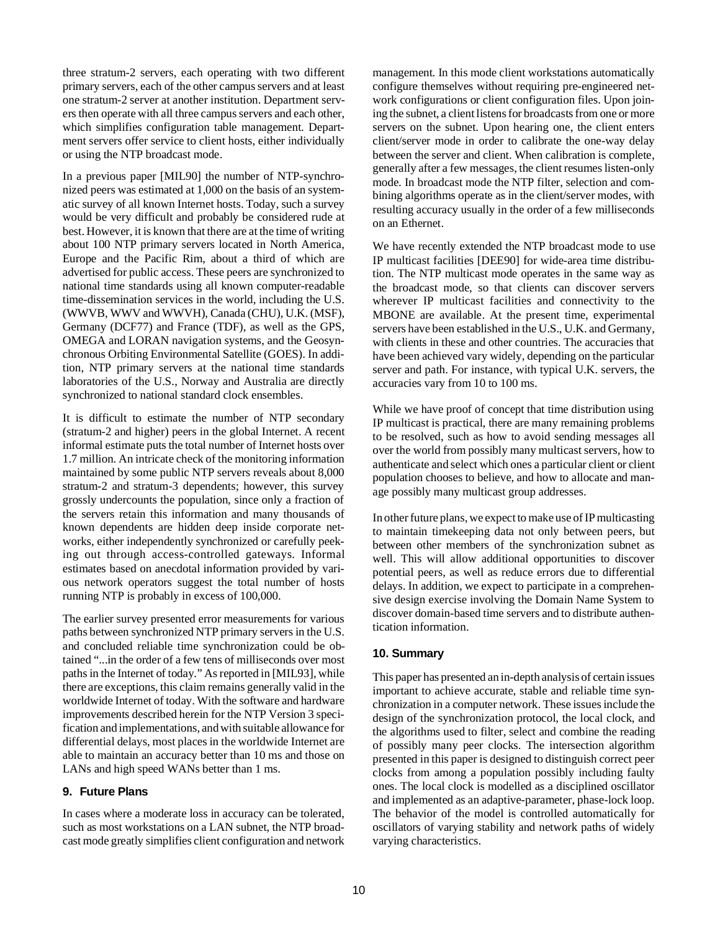three stratum-2 servers, each operating with two different primary servers, each of the other campus servers and at least one stratum-2 server at another institution. Department servers then operate with all three campus servers and each other, which simplifies configuration table management. Department servers offer service to client hosts, either individually or using the NTP broadcast mode.

In a previous paper [MIL90] the number of NTP-synchronized peers was estimated at 1,000 on the basis of an systematic survey of all known Internet hosts. Today, such a survey would be very difficult and probably be considered rude at best. However, it is known that there are at the time of writing about 100 NTP primary servers located in North America, Europe and the Pacific Rim, about a third of which are advertised for public access. These peers are synchronized to national time standards using all known computer-readable time-dissemination services in the world, including the U.S. (WWVB, WWV and WWVH), Canada (CHU), U.K. (MSF), Germany (DCF77) and France (TDF), as well as the GPS, OMEGA and LORAN navigation systems, and the Geosynchronous Orbiting Environmental Satellite (GOES). In addition, NTP primary servers at the national time standards laboratories of the U.S., Norway and Australia are directly synchronized to national standard clock ensembles.

It is difficult to estimate the number of NTP secondary (stratum-2 and higher) peers in the global Internet. A recent informal estimate puts the total number of Internet hosts over 1.7 million. An intricate check of the monitoring information maintained by some public NTP servers reveals about 8,000 stratum-2 and stratum-3 dependents; however, this survey grossly undercounts the population, since only a fraction of the servers retain this information and many thousands of known dependents are hidden deep inside corporate networks, either independently synchronized or carefully peeking out through access-controlled gateways. Informal estimates based on anecdotal information provided by various network operators suggest the total number of hosts running NTP is probably in excess of 100,000.

The earlier survey presented error measurements for various paths between synchronized NTP primary servers in the U.S. and concluded reliable time synchronization could be obtained "...in the order of a few tens of milliseconds over most paths in the Internet of today." As reported in [MIL93], while there are exceptions, this claim remains generally valid in the worldwide Internet of today. With the software and hardware improvements described herein for the NTP Version 3 specification and implementations, and with suitable allowance for differential delays, most places in the worldwide Internet are able to maintain an accuracy better than 10 ms and those on LANs and high speed WANs better than 1 ms.

## **9. Future Plans**

In cases where a moderate loss in accuracy can be tolerated, such as most workstations on a LAN subnet, the NTP broadcast mode greatly simplifies client configuration and network management. In this mode client workstations automatically configure themselves without requiring pre-engineered network configurations or client configuration files. Upon joining the subnet, a client listens for broadcasts from one or more servers on the subnet. Upon hearing one, the client enters client/server mode in order to calibrate the one-way delay between the server and client. When calibration is complete, generally after a few messages, the client resumes listen-only mode. In broadcast mode the NTP filter, selection and combining algorithms operate as in the client/server modes, with resulting accuracy usually in the order of a few milliseconds on an Ethernet.

We have recently extended the NTP broadcast mode to use IP multicast facilities [DEE90] for wide-area time distribution. The NTP multicast mode operates in the same way as the broadcast mode, so that clients can discover servers wherever IP multicast facilities and connectivity to the MBONE are available. At the present time, experimental servers have been established in the U.S., U.K. and Germany, with clients in these and other countries. The accuracies that have been achieved vary widely, depending on the particular server and path. For instance, with typical U.K. servers, the accuracies vary from 10 to 100 ms.

While we have proof of concept that time distribution using IP multicast is practical, there are many remaining problems to be resolved, such as how to avoid sending messages all over the world from possibly many multicast servers, how to authenticate and select which ones a particular client or client population chooses to believe, and how to allocate and manage possibly many multicast group addresses.

In other future plans, we expect to make use of IP multicasting to maintain timekeeping data not only between peers, but between other members of the synchronization subnet as well. This will allow additional opportunities to discover potential peers, as well as reduce errors due to differential delays. In addition, we expect to participate in a comprehensive design exercise involving the Domain Name System to discover domain-based time servers and to distribute authentication information.

## **10. Summary**

This paper has presented an in-depth analysis of certain issues important to achieve accurate, stable and reliable time synchronization in a computer network. These issues include the design of the synchronization protocol, the local clock, and the algorithms used to filter, select and combine the reading of possibly many peer clocks. The intersection algorithm presented in this paper is designed to distinguish correct peer clocks from among a population possibly including faulty ones. The local clock is modelled as a disciplined oscillator and implemented as an adaptive-parameter, phase-lock loop. The behavior of the model is controlled automatically for oscillators of varying stability and network paths of widely varying characteristics.